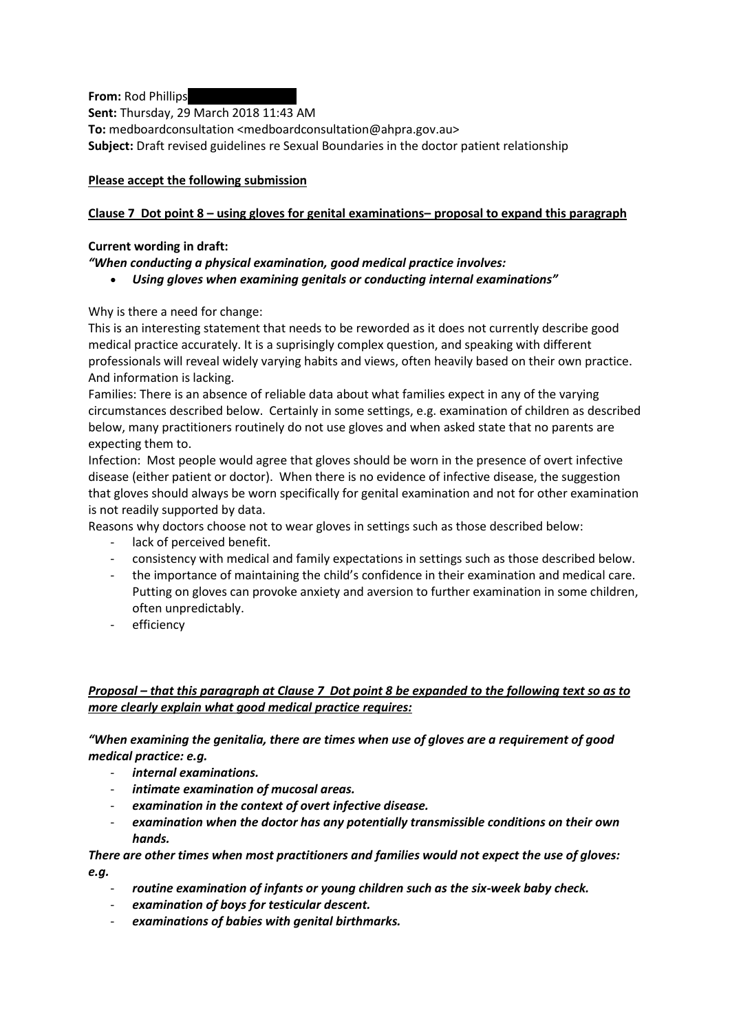**From:** Rod Phillips

**Sent:** Thursday, 29 March 2018 11:43 AM

**To:** medboardconsultation <medboardconsultation@ahpra.gov.au> **Subject:** Draft revised guidelines re Sexual Boundaries in the doctor patient relationship

## **Please accept the following submission**

# **Clause 7 Dot point 8 – using gloves for genital examinations– proposal to expand this paragraph**

#### **Current wording in draft:**

*"When conducting a physical examination, good medical practice involves:*

*Using gloves when examining genitals or conducting internal examinations"*

Why is there a need for change:

This is an interesting statement that needs to be reworded as it does not currently describe good medical practice accurately. It is a suprisingly complex question, and speaking with different professionals will reveal widely varying habits and views, often heavily based on their own practice. And information is lacking.

Families: There is an absence of reliable data about what families expect in any of the varying circumstances described below. Certainly in some settings, e.g. examination of children as described below, many practitioners routinely do not use gloves and when asked state that no parents are expecting them to.

Infection: Most people would agree that gloves should be worn in the presence of overt infective disease (either patient or doctor). When there is no evidence of infective disease, the suggestion that gloves should always be worn specifically for genital examination and not for other examination is not readily supported by data.

Reasons why doctors choose not to wear gloves in settings such as those described below:

- lack of perceived benefit.
- consistency with medical and family expectations in settings such as those described below.
- the importance of maintaining the child's confidence in their examination and medical care. Putting on gloves can provoke anxiety and aversion to further examination in some children, often unpredictably.
- efficiency

## *Proposal – that this paragraph at Clause 7 Dot point 8 be expanded to the following text so as to more clearly explain what good medical practice requires:*

## *"When examining the genitalia, there are times when use of gloves are a requirement of good medical practice: e.g.*

- *internal examinations.*
- *intimate examination of mucosal areas.*
- *examination in the context of overt infective disease.*
- *examination when the doctor has any potentially transmissible conditions on their own hands.*

*There are other times when most practitioners and families would not expect the use of gloves: e.g.* 

- *routine examination of infants or young children such as the six-week baby check.*
- *examination of boys for testicular descent.*
- *examinations of babies with genital birthmarks.*